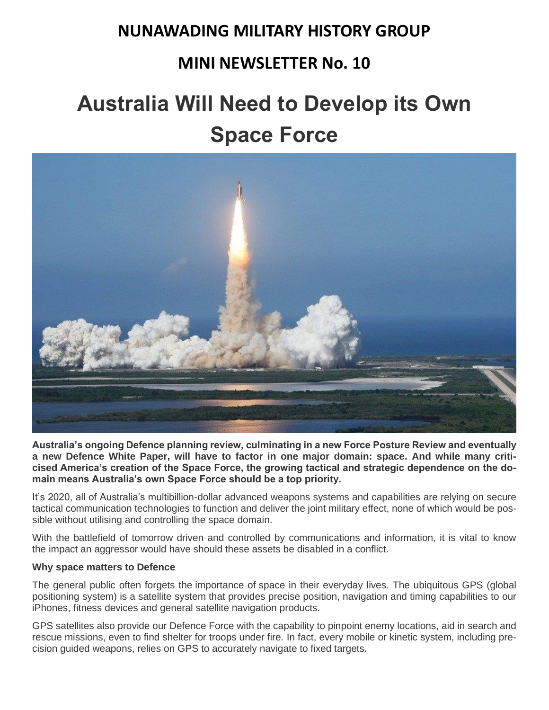### **NUNAWADING MILITARY HISTORY GROUP**

### **MINI NEWSLETTER No. 10**

# **Australia Will Need to Develop its Own Space Force**



**Australia's ongoing Defence planning review, culminating in a new Force Posture Review and eventually a new Defence White Paper, will have to factor in one major domain: space. And while many criticised America's creation of the Space Force, the growing tactical and strategic dependence on the domain means Australia's own Space Force should be a top priority.**

It's 2020, all of Australia's multibillion-dollar advanced weapons systems and capabilities are relying on secure tactical communication technologies to function and deliver the joint military effect, none of which would be possible without utilising and controlling the space domain.

With the battlefield of tomorrow driven and controlled by communications and information, it is vital to know the impact an aggressor would have should these assets be disabled in a conflict.

#### **Why space matters to Defence**

The general public often forgets the importance of space in their everyday lives. The ubiquitous GPS (global positioning system) is a satellite system that provides precise position, navigation and timing capabilities to our iPhones, fitness devices and general satellite navigation products.

GPS satellites also provide our Defence Force with the capability to pinpoint enemy locations, aid in search and rescue missions, even to find shelter for troops under fire. In fact, every mobile or kinetic system, including precision guided weapons, relies on GPS to accurately navigate to fixed targets.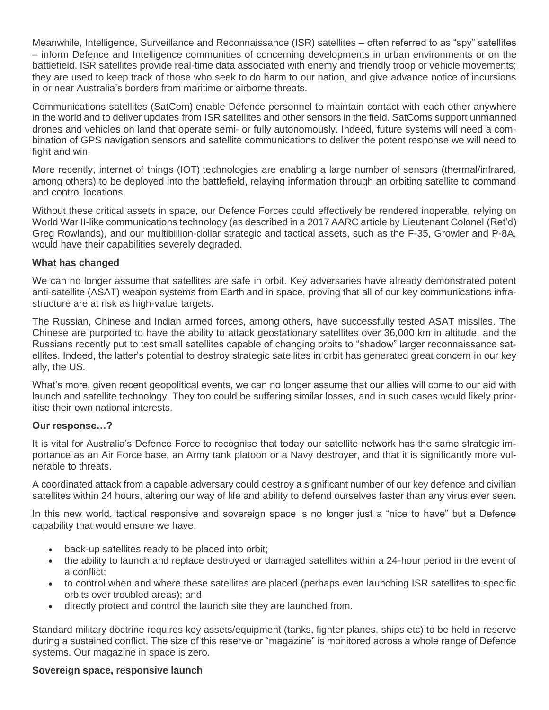Meanwhile, Intelligence, Surveillance and Reconnaissance (ISR) satellites – often referred to as "spy" satellites – inform Defence and Intelligence communities of concerning developments in urban environments or on the battlefield. ISR satellites provide real-time data associated with enemy and friendly troop or vehicle movements; they are used to keep track of those who seek to do harm to our nation, and give advance notice of incursions in or near Australia's borders from maritime or airborne threats.

Communications satellites (SatCom) enable Defence personnel to maintain contact with each other anywhere in the world and to deliver updates from ISR satellites and other sensors in the field. SatComs support unmanned drones and vehicles on land that operate semi- or fully autonomously. Indeed, future systems will need a combination of GPS navigation sensors and satellite communications to deliver the potent response we will need to fight and win.

More recently, internet of things (IOT) technologies are enabling a large number of sensors (thermal/infrared, among others) to be deployed into the battlefield, relaying information through an orbiting satellite to command and control locations.

Without these critical assets in space, our Defence Forces could effectively be rendered inoperable, relying on World War II-like communications technology (as described in a 2017 AARC article by Lieutenant Colonel (Ret'd) Greg Rowlands), and our multibillion-dollar strategic and tactical assets, such as the F-35, Growler and P-8A, would have their capabilities severely degraded.

#### **What has changed**

We can no longer assume that satellites are safe in orbit. Key adversaries have already demonstrated potent anti-satellite (ASAT) weapon systems from Earth and in space, proving that all of our key communications infrastructure are at risk as high-value targets.

The Russian, Chinese and Indian armed forces, among others, have successfully tested ASAT missiles. The Chinese are purported to have the ability to attack geostationary satellites over 36,000 km in altitude, and the Russians recently put to test small satellites capable of changing orbits to "shadow" larger reconnaissance satellites. Indeed, the latter's potential to destroy strategic satellites in orbit has generated great concern in our key ally, the US.

What's more, given recent geopolitical events, we can no longer assume that our allies will come to our aid with launch and satellite technology. They too could be suffering similar losses, and in such cases would likely prioritise their own national interests.

#### **Our response…?**

It is vital for Australia's Defence Force to recognise that today our satellite network has the same strategic importance as an Air Force base, an Army tank platoon or a Navy destroyer, and that it is significantly more vulnerable to threats.

A coordinated attack from a capable adversary could destroy a significant number of our key defence and civilian satellites within 24 hours, altering our way of life and ability to defend ourselves faster than any virus ever seen.

In this new world, tactical responsive and sovereign space is no longer just a "nice to have" but a Defence capability that would ensure we have:

- back-up satellites ready to be placed into orbit;
- the ability to launch and replace destroyed or damaged satellites within a 24-hour period in the event of a conflict;
- to control when and where these satellites are placed (perhaps even launching ISR satellites to specific orbits over troubled areas); and
- directly protect and control the launch site they are launched from.

Standard military doctrine requires key assets/equipment (tanks, fighter planes, ships etc) to be held in reserve during a sustained conflict. The size of this reserve or "magazine" is monitored across a whole range of Defence systems. Our magazine in space is zero.

#### **Sovereign space, responsive launch**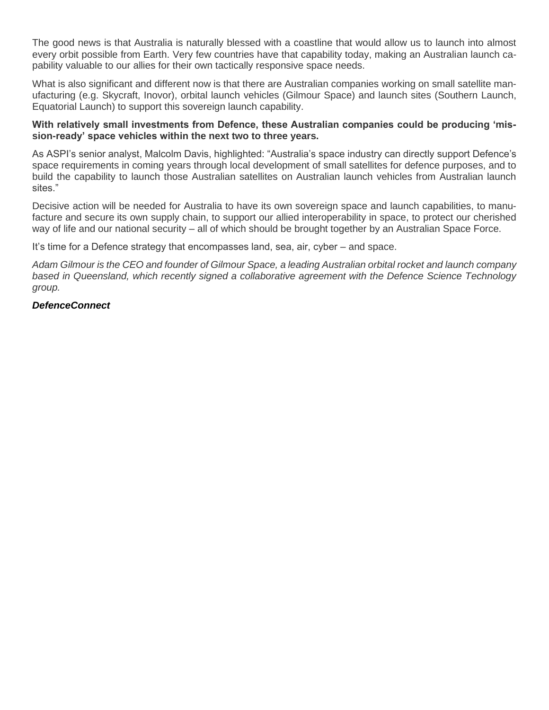The good news is that Australia is naturally blessed with a coastline that would allow us to launch into almost every orbit possible from Earth. Very few countries have that capability today, making an Australian launch capability valuable to our allies for their own tactically responsive space needs.

What is also significant and different now is that there are Australian companies working on small satellite manufacturing (e.g. Skycraft, Inovor), orbital launch vehicles (Gilmour Space) and launch sites (Southern Launch, Equatorial Launch) to support this sovereign launch capability.

#### **With relatively small investments from Defence, these Australian companies could be producing 'mission-ready' space vehicles within the next two to three years.**

As ASPI's senior analyst, Malcolm Davis, highlighted: "Australia's space industry can directly support Defence's space requirements in coming years through local development of small satellites for defence purposes, and to build the capability to launch those Australian satellites on Australian launch vehicles from Australian launch sites."

Decisive action will be needed for Australia to have its own sovereign space and launch capabilities, to manufacture and secure its own supply chain, to support our allied interoperability in space, to protect our cherished way of life and our national security – all of which should be brought together by an Australian Space Force.

It's time for a Defence strategy that encompasses land, sea, air, cyber – and space.

*Adam Gilmour is the CEO and founder of Gilmour Space, a leading Australian orbital rocket and launch company based in Queensland, which recently signed a collaborative agreement with the Defence Science Technology group.*

#### *DefenceConnect*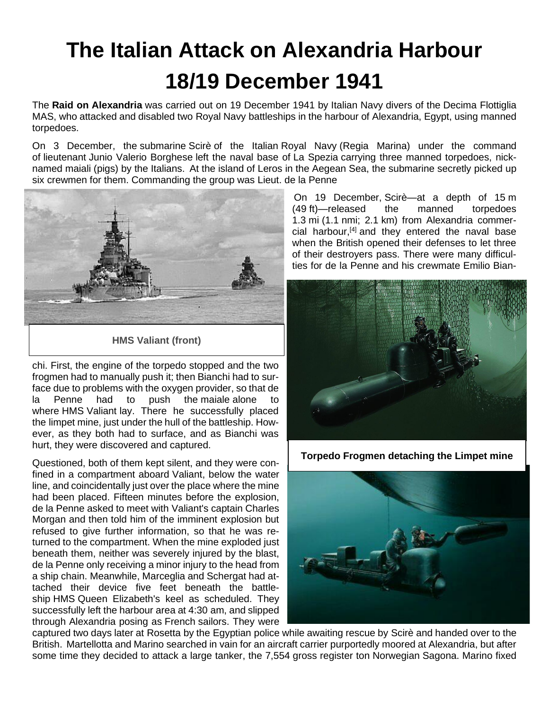# **The Italian Attack on Alexandria Harbour 18/19 December 194[1](http://digital-commons.usnwc.edu/cgi/viewcontent.cgi?article=1224&context=nwc-review)**

The **Raid on Alexandria** was carried out on 19 December 1941 by [Italian Navy](https://en.wikipedia.org/wiki/Italian_Navy) divers of the [Decima Flottiglia](https://en.wikipedia.org/wiki/Decima_Flottiglia_MAS)  [MAS,](https://en.wikipedia.org/wiki/Decima_Flottiglia_MAS) who attacked and disabled two [Royal Navy](https://en.wikipedia.org/wiki/Royal_Navy) battleships in the harbour of [Alexandria,](https://en.wikipedia.org/wiki/Alexandria) Egypt, using [manned](https://en.wikipedia.org/wiki/Human_torpedo)  [torpedoes.](https://en.wikipedia.org/wiki/Human_torpedo)

On 3 December, the [submarine](https://en.wikipedia.org/wiki/Submarine) [Scirè](https://en.wikipedia.org/wiki/Italian_submarine_Scir%C3%A8_(1938)) of the Italian [Royal Navy](https://en.wikipedia.org/wiki/Regia_Marina) [\(Regia Marina\)](https://en.wikipedia.org/wiki/Regia_Marina) under the command of [lieutenant](https://en.wikipedia.org/wiki/Lieutenant_(navy)) [Junio Valerio Borghese](https://en.wikipedia.org/wiki/Junio_Valerio_Borghese) left the naval base of [La Spezia](https://en.wikipedia.org/wiki/La_Spezia) carrying three manned torpedoes, nicknamed maiali (pigs) by the [Italians.](https://en.wikipedia.org/wiki/Italians) At the island of [Leros](https://en.wikipedia.org/wiki/Leros) in the [Aegean Sea,](https://en.wikipedia.org/wiki/Aegean_Sea) the submarine secretly picked up six crewmen for them. Commanding the group was Lieut. de la Penne



**HMS Valiant (front)**

chi. First, the engine of the torpedo stopped and the two frogmen had to manually push it; then Bianchi had to surface due to problems with the oxygen provider, so that de la Penne had to push the maiale alone to where HMS [Valiant](https://en.wikipedia.org/wiki/HMS_Valiant_(1914)) lay. There he successfully placed the [limpet mine,](https://en.wikipedia.org/wiki/Limpet_mine) just under the hull of the battleship. However, as they both had to surface, and as Bianchi was hurt, they were discovered and captured.

Questioned, both of them kept silent, and they were confined in a compartment aboard Valiant, below the water line, and coincidentally just over the place where the mine had been placed. Fifteen minutes before the explosion, de la Penne asked to meet with Valiant's captain Charles Morgan and then told him of the imminent explosion but refused to give further information, so that he was returned to the compartment. When the mine exploded just beneath them, neither was severely injured by the blast, de la Penne only receiving a minor injury to the head from a ship chain. Meanwhile, Marceglia and Schergat had attached their device five feet beneath the battleship HMS [Queen Elizabeth'](https://en.wikipedia.org/wiki/HMS_Queen_Elizabeth_(1913))s keel as scheduled. They successfully left the harbour area at 4:30 am, and slipped through Alexandria posing as [French](https://en.wikipedia.org/wiki/France) sailors. They were

On 19 December, Scirè—at a depth of 15 m (49 ft)—released the manned torpedoes 1.3 [mi](https://en.wikipedia.org/wiki/Mile) (1.1 [nmi;](https://en.wikipedia.org/wiki/Nautical_mile) 2.1 [km\)](https://en.wikipedia.org/wiki/Kilometre) from Alexandria commer-cial harbour,<sup>[\[4\]](https://en.wikipedia.org/wiki/Raid_on_Alexandria_(1941)#cite_note-4)</sup> and they entered the naval base when the British opened their defenses to let three of their destroyers pass. There were many difficulties for de la Penne and his crewmate Emilio Bian-



**Torpedo Frogmen detaching the Limpet mine**



captured two days later at [Rosetta](https://en.wikipedia.org/wiki/Rosetta) by the [Egyptian](https://en.wikipedia.org/wiki/Kingdom_of_Egypt) police while awaiting rescue by Scirè and handed over to the British. Martellotta and Marino searched in vain for an aircraft carrier purportedly moored at Alexandria, but after some time they decided to attack a large tanker, the 7,554 [gross register ton](https://en.wikipedia.org/wiki/Gross_register_tonnage) Norwegian Sagona. Marino fixed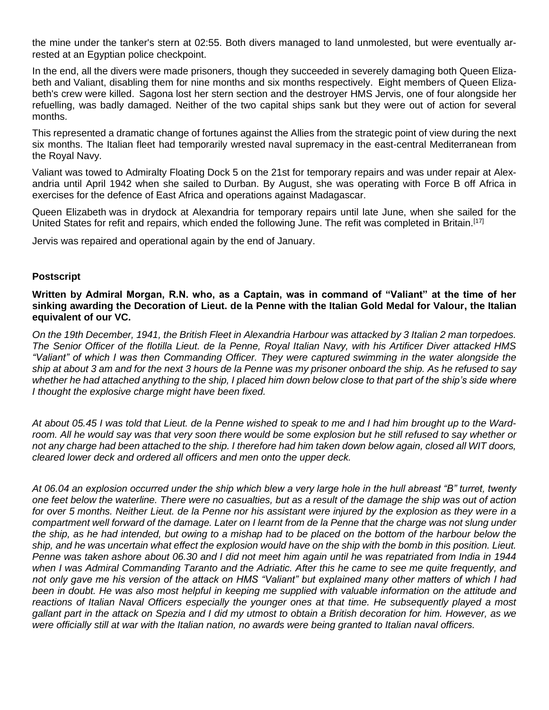the mine under the tanker's stern at 02:55. Both divers managed to land unmolested, but were eventually arrested at an Egyptian police checkpoint.

In the end, all the divers were made prisoners, though they succeeded in severely damaging both Queen Elizabeth and Valiant, disabling them for nine months and six months respectively. Eight members of Queen Elizabeth's crew were killed. Sagona lost her stern section and the destroyer HMS [Jervis,](https://en.wikipedia.org/wiki/HMS_Jervis_(F00)) one of four alongside her refuelling, was badly damaged. Neither of the two capital ships sank but they were out of action for several months.

This represented a dramatic change of fortunes against the Allies from the strategic point of view during the next six months. The Italian fleet had temporarily wrested [naval supremacy](https://en.wikipedia.org/wiki/Naval_supremacy) in the east-central Mediterranean from the Royal Navy.

Valiant was towed to Admiralty Floating Dock 5 on the 21st for temporary repairs and was under repair at Alexandria until April 1942 when she sailed to [Durban.](https://en.wikipedia.org/wiki/Durban) By August, she was operating with Force B off Africa in exercises for the defence of East Africa and operations against Madagascar.

Queen Elizabeth was in drydock at Alexandria for temporary repairs until late June, when she sailed for the United States for refit and repairs, which ended the following June. The refit was completed in Britain.[\[17\]](https://en.wikipedia.org/wiki/Raid_on_Alexandria_(1941)#cite_note-17)

Jervis was repaired and operational again by the end of January.

#### **Postscript**

**Written by Admiral Morgan, R.N. who, as a Captain, was in command of "Valiant" at the time of her sinking awarding the Decoration of Lieut. de la Penne with the Italian Gold Medal for Valour, the Italian equivalent of our VC.**

*On the 19th December, 1941, the British Fleet in Alexandria Harbour was attacked by 3 Italian 2 man torpedoes. The Senior Officer of the flotilla Lieut. de la Penne, Royal Italian Navy, with his Artificer Diver attacked HMS "Valiant" of which I was then Commanding Officer. They were captured swimming in the water alongside the ship at about 3 am and for the next 3 hours de la Penne was my prisoner onboard the ship. As he refused to say whether he had attached anything to the ship, I placed him down below close to that part of the ship's side where I thought the explosive charge might have been fixed.*

*At about 05.45 I was told that Lieut. de la Penne wished to speak to me and I had him brought up to the Ward*room. All he would say was that very soon there would be some explosion but he still refused to say whether or *not any charge had been attached to the ship. I therefore had him taken down below again, closed all WIT doors, cleared lower deck and ordered all officers and men onto the upper deck.*

*At 06.04 an explosion occurred under the ship which blew a very large hole in the hull abreast "B" turret, twenty one feet below the waterline. There were no casualties, but as a result of the damage the ship was out of action for over 5 months. Neither Lieut. de la Penne nor his assistant were injured by the explosion as they were in a*  compartment well forward of the damage. Later on I learnt from de la Penne that the charge was not slung under *the ship, as he had intended, but owing to a mishap had to be placed on the bottom of the harbour below the ship, and he was uncertain what effect the explosion would have on the ship with the bomb in this position. Lieut. Penne was taken ashore about 06.30 and I did not meet him again until he was repatriated from India in 1944 when I was Admiral Commanding Taranto and the Adriatic. After this he came to see me quite frequently, and not only gave me his version of the attack on HMS "Valiant" but explained many other matters of which I had*  been in doubt. He was also most helpful in keeping me supplied with valuable information on the attitude and *reactions of Italian Naval Officers especially the younger ones at that time. He subsequently played a most gallant part in the attack on Spezia and I did my utmost to obtain a British decoration for him. However, as we were officially still at war with the Italian nation, no awards were being granted to Italian naval officers.*